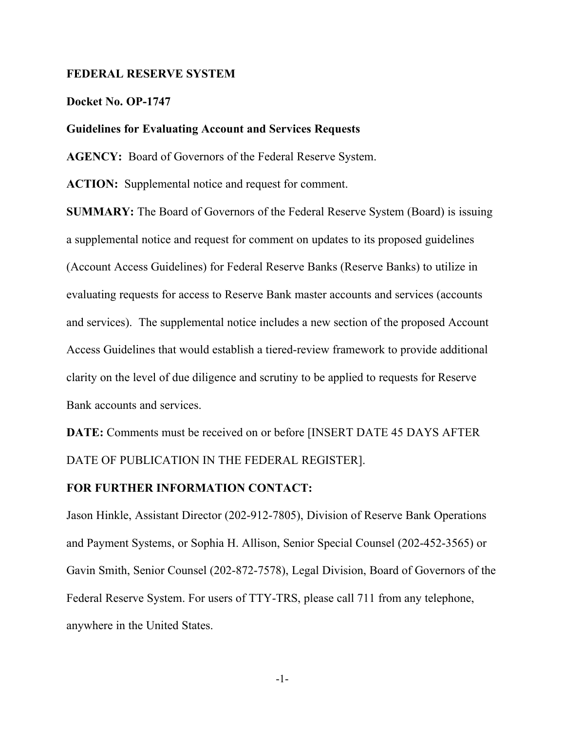## **FEDERAL RESERVE SYSTEM**

#### **Docket No. OP-1747**

#### **Guidelines for Evaluating Account and Services Requests**

**AGENCY:** Board of Governors of the Federal Reserve System.

**ACTION:** Supplemental notice and request for comment.

**SUMMARY:** The Board of Governors of the Federal Reserve System (Board) is issuing a supplemental notice and request for comment on updates to its proposed guidelines (Account Access Guidelines) for Federal Reserve Banks (Reserve Banks) to utilize in evaluating requests for access to Reserve Bank master accounts and services (accounts and services). The supplemental notice includes a new section of the proposed Account Access Guidelines that would establish a tiered-review framework to provide additional clarity on the level of due diligence and scrutiny to be applied to requests for Reserve Bank accounts and services.

**DATE:** Comments must be received on or before [INSERT DATE 45 DAYS AFTER DATE OF PUBLICATION IN THE FEDERAL REGISTER].

## **FOR FURTHER INFORMATION CONTACT:**

Jason Hinkle, Assistant Director (202-912-7805), Division of Reserve Bank Operations and Payment Systems, or Sophia H. Allison, Senior Special Counsel (202-452-3565) or Gavin Smith, Senior Counsel (202-872-7578), Legal Division, Board of Governors of the Federal Reserve System. For users of TTY-TRS, please call 711 from any telephone, anywhere in the United States.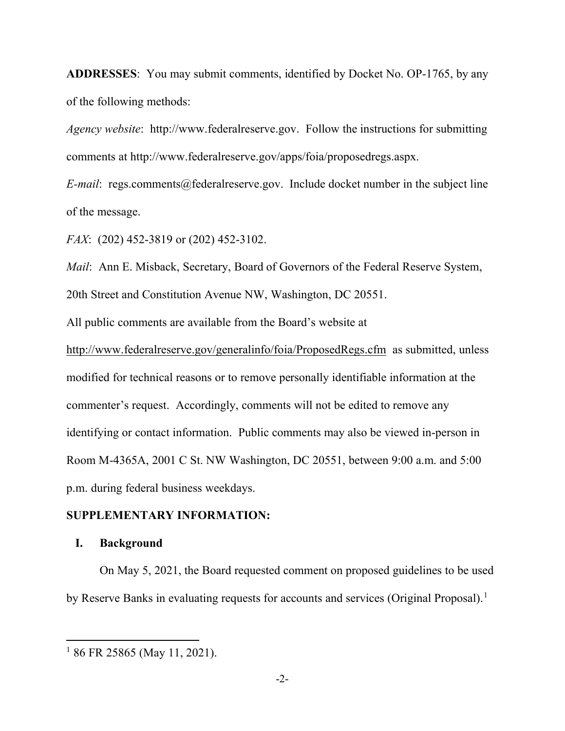**ADDRESSES**: You may submit comments, identified by Docket No. OP-1765, by any of the following methods:

*Agency website*: http://www.federalreserve.gov. Follow the instructions for submitting comments at http://www.federalreserve.gov/apps/foia/proposedregs.aspx.

*E-mail*: regs.comments@federalreserve.gov. Include docket number in the subject line of the message.

*FAX*: (202) 452-3819 or (202) 452-3102.

*Mail*: Ann E. Misback, Secretary, Board of Governors of the Federal Reserve System,

20th Street and Constitution Avenue NW, Washington, DC 20551.

All public comments are available from the Board's website at

<http://www.federalreserve.gov/generalinfo/foia/ProposedRegs.cfm>as submitted, unless modified for technical reasons or to remove personally identifiable information at the commenter's request. Accordingly, comments will not be edited to remove any identifying or contact information. Public comments may also be viewed in-person in Room M-4365A, 2001 C St. NW Washington, DC 20551, between 9:00 a.m. and 5:00 p.m. during federal business weekdays.

# **SUPPLEMENTARY INFORMATION:**

### **I. Background**

On May 5, 2021, the Board requested comment on proposed guidelines to be used by Reserve Banks in evaluating requests for accounts and services (Original Proposal).<sup>[1](#page-1-0)</sup>

<span id="page-1-0"></span><sup>1</sup> 86 FR 25865 (May 11, 2021).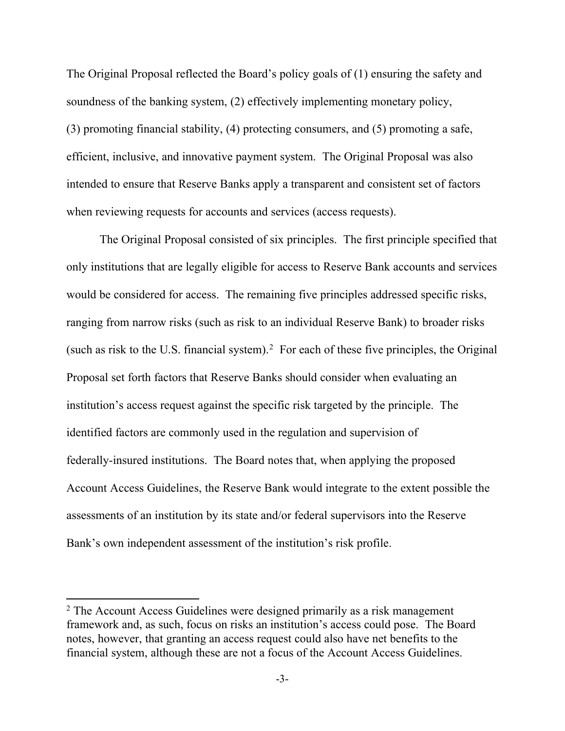The Original Proposal reflected the Board's policy goals of (1) ensuring the safety and soundness of the banking system, (2) effectively implementing monetary policy, (3) promoting financial stability, (4) protecting consumers, and (5) promoting a safe, efficient, inclusive, and innovative payment system. The Original Proposal was also intended to ensure that Reserve Banks apply a transparent and consistent set of factors when reviewing requests for accounts and services (access requests).

The Original Proposal consisted of six principles. The first principle specified that only institutions that are legally eligible for access to Reserve Bank accounts and services would be considered for access. The remaining five principles addressed specific risks, ranging from narrow risks (such as risk to an individual Reserve Bank) to broader risks (such as risk to the U.S. financial system).<sup>[2](#page-2-0)</sup> For each of these five principles, the Original Proposal set forth factors that Reserve Banks should consider when evaluating an institution's access request against the specific risk targeted by the principle. The identified factors are commonly used in the regulation and supervision of federally-insured institutions. The Board notes that, when applying the proposed Account Access Guidelines, the Reserve Bank would integrate to the extent possible the assessments of an institution by its state and/or federal supervisors into the Reserve Bank's own independent assessment of the institution's risk profile.

<span id="page-2-0"></span><sup>&</sup>lt;sup>2</sup> The Account Access Guidelines were designed primarily as a risk management framework and, as such, focus on risks an institution's access could pose. The Board notes, however, that granting an access request could also have net benefits to the financial system, although these are not a focus of the Account Access Guidelines.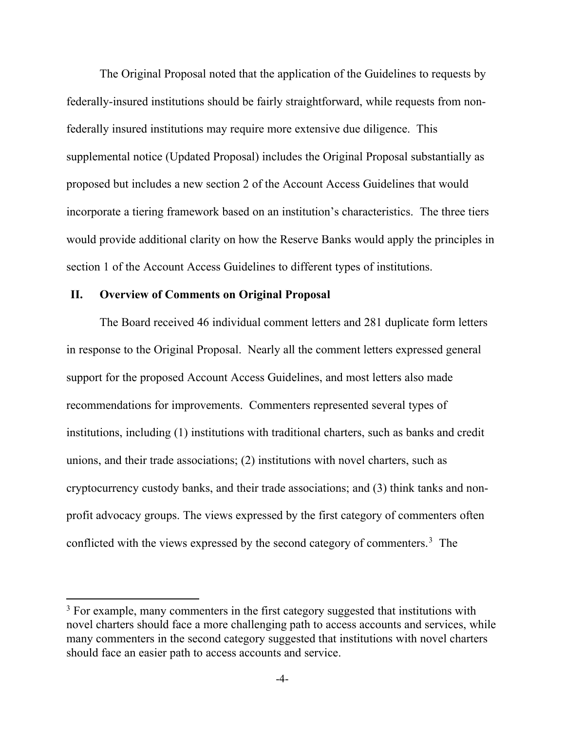The Original Proposal noted that the application of the Guidelines to requests by federally-insured institutions should be fairly straightforward, while requests from nonfederally insured institutions may require more extensive due diligence. This supplemental notice (Updated Proposal) includes the Original Proposal substantially as proposed but includes a new section 2 of the Account Access Guidelines that would incorporate a tiering framework based on an institution's characteristics. The three tiers would provide additional clarity on how the Reserve Banks would apply the principles in section 1 of the Account Access Guidelines to different types of institutions.

#### **II. Overview of Comments on Original Proposal**

The Board received 46 individual comment letters and 281 duplicate form letters in response to the Original Proposal. Nearly all the comment letters expressed general support for the proposed Account Access Guidelines, and most letters also made recommendations for improvements. Commenters represented several types of institutions, including (1) institutions with traditional charters, such as banks and credit unions, and their trade associations; (2) institutions with novel charters, such as cryptocurrency custody banks, and their trade associations; and (3) think tanks and nonprofit advocacy groups. The views expressed by the first category of commenters often conflicted with the views expressed by the second category of commenters.<sup>[3](#page-3-0)</sup> The

<span id="page-3-0"></span> $3$  For example, many commenters in the first category suggested that institutions with novel charters should face a more challenging path to access accounts and services, while many commenters in the second category suggested that institutions with novel charters should face an easier path to access accounts and service.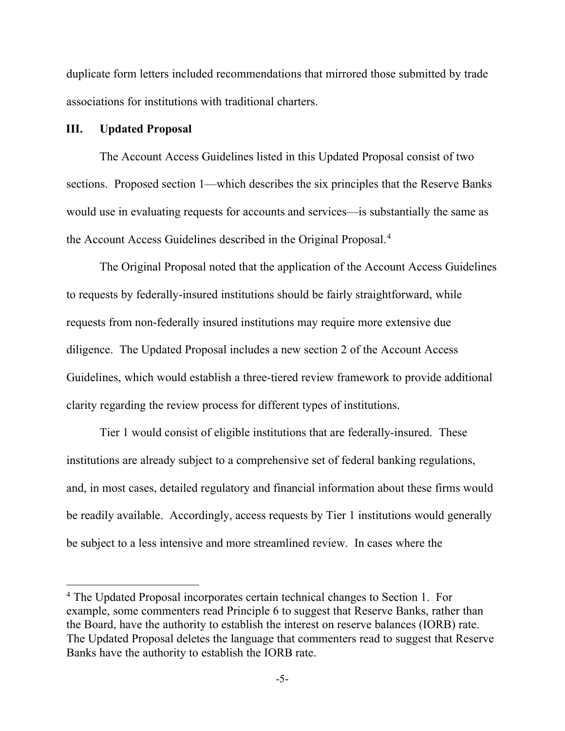duplicate form letters included recommendations that mirrored those submitted by trade associations for institutions with traditional charters.

## **III. Updated Proposal**

The Account Access Guidelines listed in this Updated Proposal consist of two sections. Proposed section 1—which describes the six principles that the Reserve Banks would use in evaluating requests for accounts and services—is substantially the same as the Account Access Guidelines described in the Original Proposal. [4](#page-4-0)

The Original Proposal noted that the application of the Account Access Guidelines to requests by federally-insured institutions should be fairly straightforward, while requests from non-federally insured institutions may require more extensive due diligence. The Updated Proposal includes a new section 2 of the Account Access Guidelines, which would establish a three-tiered review framework to provide additional clarity regarding the review process for different types of institutions.

Tier 1 would consist of eligible institutions that are federally-insured. These institutions are already subject to a comprehensive set of federal banking regulations, and, in most cases, detailed regulatory and financial information about these firms would be readily available. Accordingly, access requests by Tier 1 institutions would generally be subject to a less intensive and more streamlined review. In cases where the

<span id="page-4-0"></span><sup>4</sup> The Updated Proposal incorporates certain technical changes to Section 1. For example, some commenters read Principle 6 to suggest that Reserve Banks, rather than the Board, have the authority to establish the interest on reserve balances (IORB) rate. The Updated Proposal deletes the language that commenters read to suggest that Reserve Banks have the authority to establish the IORB rate.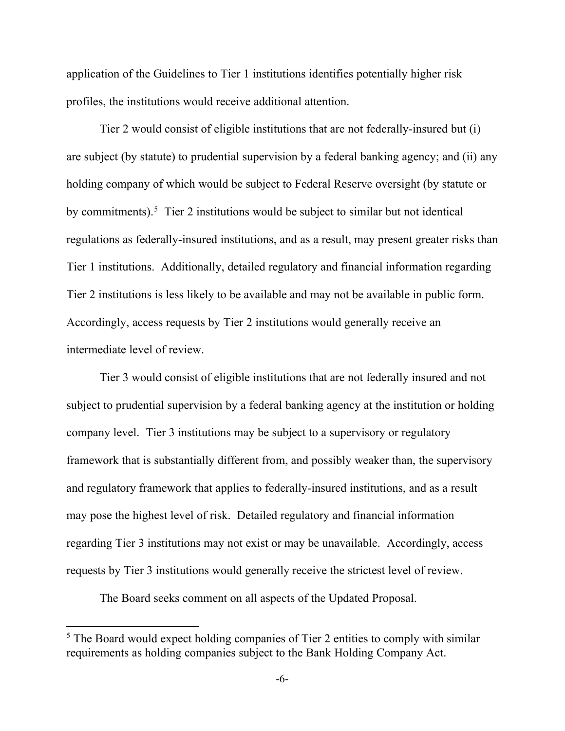application of the Guidelines to Tier 1 institutions identifies potentially higher risk profiles, the institutions would receive additional attention.

Tier 2 would consist of eligible institutions that are not federally-insured but (i) are subject (by statute) to prudential supervision by a federal banking agency; and (ii) any holding company of which would be subject to Federal Reserve oversight (by statute or by commitments).<sup>[5](#page-5-0)</sup> Tier 2 institutions would be subject to similar but not identical regulations as federally-insured institutions, and as a result, may present greater risks than Tier 1 institutions. Additionally, detailed regulatory and financial information regarding Tier 2 institutions is less likely to be available and may not be available in public form. Accordingly, access requests by Tier 2 institutions would generally receive an intermediate level of review.

Tier 3 would consist of eligible institutions that are not federally insured and not subject to prudential supervision by a federal banking agency at the institution or holding company level. Tier 3 institutions may be subject to a supervisory or regulatory framework that is substantially different from, and possibly weaker than, the supervisory and regulatory framework that applies to federally-insured institutions, and as a result may pose the highest level of risk. Detailed regulatory and financial information regarding Tier 3 institutions may not exist or may be unavailable. Accordingly, access requests by Tier 3 institutions would generally receive the strictest level of review.

The Board seeks comment on all aspects of the Updated Proposal.

<span id="page-5-0"></span><sup>&</sup>lt;sup>5</sup> The Board would expect holding companies of Tier 2 entities to comply with similar requirements as holding companies subject to the Bank Holding Company Act.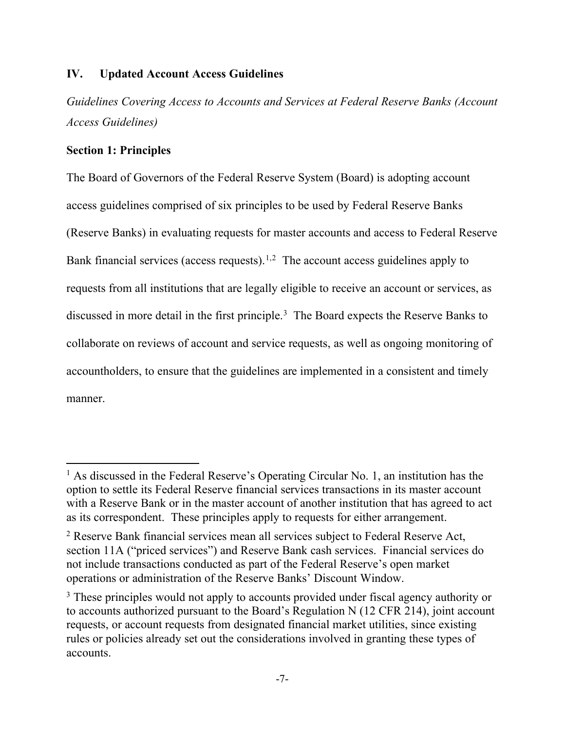# **IV. Updated Account Access Guidelines**

*Guidelines Covering Access to Accounts and Services at Federal Reserve Banks (Account Access Guidelines)*

## **Section 1: Principles**

The Board of Governors of the Federal Reserve System (Board) is adopting account access guidelines comprised of six principles to be used by Federal Reserve Banks (Reserve Banks) in evaluating requests for master accounts and access to Federal Reserve Bank financial services (access requests).<sup>[1](#page-6-0),[2](#page-6-1)</sup> The account access guidelines apply to requests from all institutions that are legally eligible to receive an account or services, as discussed in more detail in the first principle.<sup>[3](#page-6-2)</sup> The Board expects the Reserve Banks to collaborate on reviews of account and service requests, as well as ongoing monitoring of accountholders, to ensure that the guidelines are implemented in a consistent and timely manner.

<span id="page-6-0"></span> $<sup>1</sup>$  As discussed in the Federal Reserve's Operating Circular No. 1, an institution has the</sup> option to settle its Federal Reserve financial services transactions in its master account with a Reserve Bank or in the master account of another institution that has agreed to act as its correspondent. These principles apply to requests for either arrangement.

<span id="page-6-1"></span><sup>&</sup>lt;sup>2</sup> Reserve Bank financial services mean all services subject to Federal Reserve Act, section 11A ("priced services") and Reserve Bank cash services. Financial services do not include transactions conducted as part of the Federal Reserve's open market operations or administration of the Reserve Banks' Discount Window.

<span id="page-6-2"></span><sup>&</sup>lt;sup>3</sup> These principles would not apply to accounts provided under fiscal agency authority or to accounts authorized pursuant to the Board's Regulation N (12 CFR 214), joint account requests, or account requests from designated financial market utilities, since existing rules or policies already set out the considerations involved in granting these types of accounts.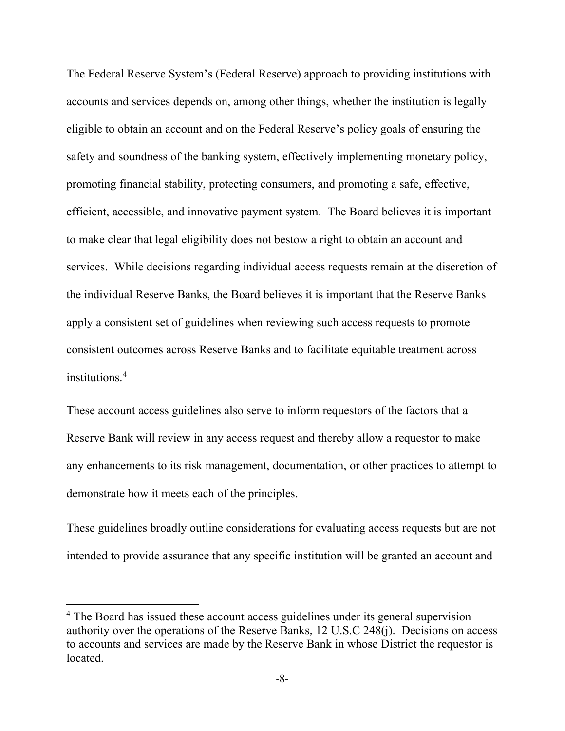The Federal Reserve System's (Federal Reserve) approach to providing institutions with accounts and services depends on, among other things, whether the institution is legally eligible to obtain an account and on the Federal Reserve's policy goals of ensuring the safety and soundness of the banking system, effectively implementing monetary policy, promoting financial stability, protecting consumers, and promoting a safe, effective, efficient, accessible, and innovative payment system. The Board believes it is important to make clear that legal eligibility does not bestow a right to obtain an account and services. While decisions regarding individual access requests remain at the discretion of the individual Reserve Banks, the Board believes it is important that the Reserve Banks apply a consistent set of guidelines when reviewing such access requests to promote consistent outcomes across Reserve Banks and to facilitate equitable treatment across institutions.[4](#page-7-0)

These account access guidelines also serve to inform requestors of the factors that a Reserve Bank will review in any access request and thereby allow a requestor to make any enhancements to its risk management, documentation, or other practices to attempt to demonstrate how it meets each of the principles.

These guidelines broadly outline considerations for evaluating access requests but are not intended to provide assurance that any specific institution will be granted an account and

<span id="page-7-0"></span><sup>&</sup>lt;sup>4</sup> The Board has issued these account access guidelines under its general supervision authority over the operations of the Reserve Banks, 12 U.S.C 248(j). Decisions on access to accounts and services are made by the Reserve Bank in whose District the requestor is located.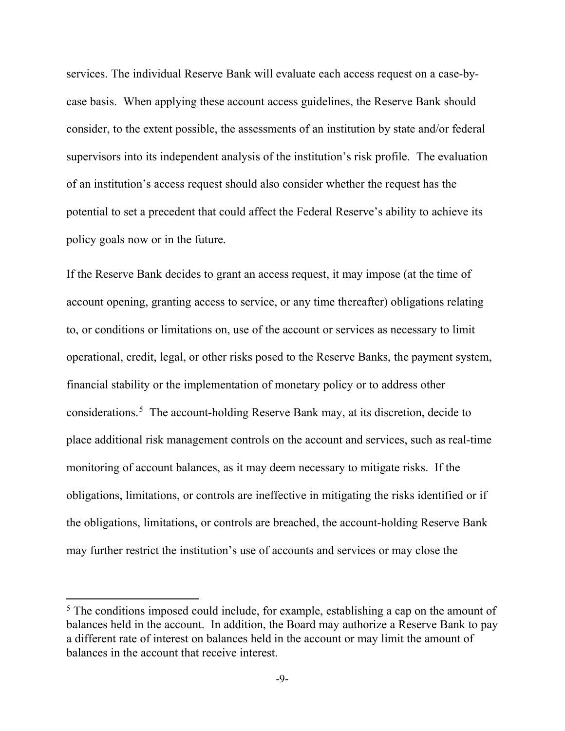services. The individual Reserve Bank will evaluate each access request on a case-bycase basis. When applying these account access guidelines, the Reserve Bank should consider, to the extent possible, the assessments of an institution by state and/or federal supervisors into its independent analysis of the institution's risk profile. The evaluation of an institution's access request should also consider whether the request has the potential to set a precedent that could affect the Federal Reserve's ability to achieve its policy goals now or in the future.

If the Reserve Bank decides to grant an access request, it may impose (at the time of account opening, granting access to service, or any time thereafter) obligations relating to, or conditions or limitations on, use of the account or services as necessary to limit operational, credit, legal, or other risks posed to the Reserve Banks, the payment system, financial stability or the implementation of monetary policy or to address other considerations.<sup>[5](#page-8-0)</sup> The account-holding Reserve Bank may, at its discretion, decide to place additional risk management controls on the account and services, such as real-time monitoring of account balances, as it may deem necessary to mitigate risks. If the obligations, limitations, or controls are ineffective in mitigating the risks identified or if the obligations, limitations, or controls are breached, the account-holding Reserve Bank may further restrict the institution's use of accounts and services or may close the

<span id="page-8-0"></span><sup>&</sup>lt;sup>5</sup> The conditions imposed could include, for example, establishing a cap on the amount of balances held in the account. In addition, the Board may authorize a Reserve Bank to pay a different rate of interest on balances held in the account or may limit the amount of balances in the account that receive interest.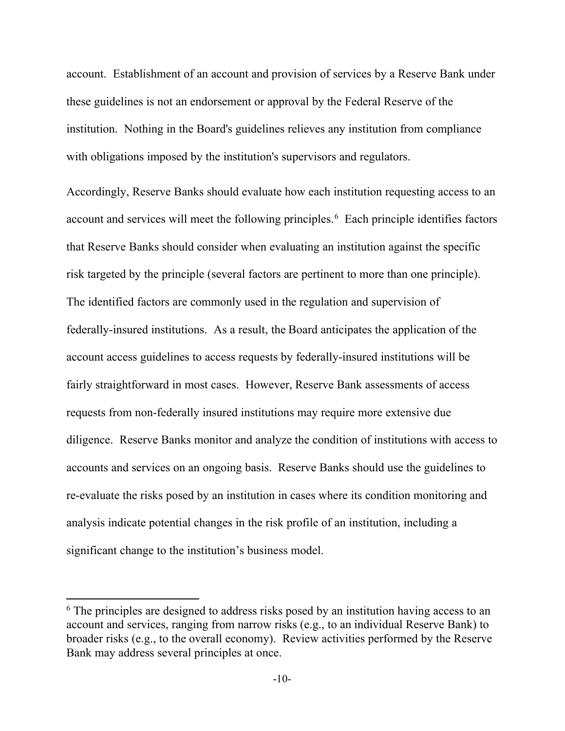account. Establishment of an account and provision of services by a Reserve Bank under these guidelines is not an endorsement or approval by the Federal Reserve of the institution. Nothing in the Board's guidelines relieves any institution from compliance with obligations imposed by the institution's supervisors and regulators.

Accordingly, Reserve Banks should evaluate how each institution requesting access to an account and services will meet the following principles.<sup>[6](#page-9-0)</sup> Each principle identifies factors that Reserve Banks should consider when evaluating an institution against the specific risk targeted by the principle (several factors are pertinent to more than one principle). The identified factors are commonly used in the regulation and supervision of federally-insured institutions. As a result, the Board anticipates the application of the account access guidelines to access requests by federally-insured institutions will be fairly straightforward in most cases. However, Reserve Bank assessments of access requests from non-federally insured institutions may require more extensive due diligence. Reserve Banks monitor and analyze the condition of institutions with access to accounts and services on an ongoing basis. Reserve Banks should use the guidelines to re-evaluate the risks posed by an institution in cases where its condition monitoring and analysis indicate potential changes in the risk profile of an institution, including a significant change to the institution's business model.

<span id="page-9-0"></span><sup>&</sup>lt;sup>6</sup> The principles are designed to address risks posed by an institution having access to an account and services, ranging from narrow risks (e.g., to an individual Reserve Bank) to broader risks (e.g., to the overall economy). Review activities performed by the Reserve Bank may address several principles at once.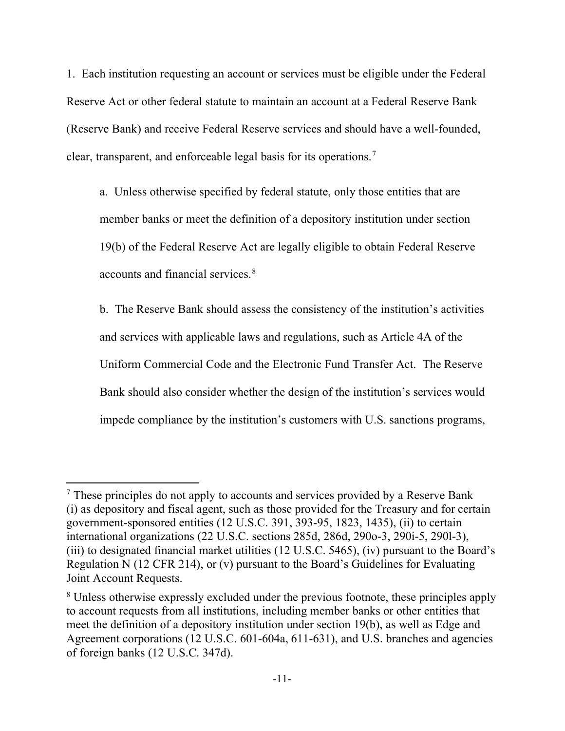1. Each institution requesting an account or services must be eligible under the Federal Reserve Act or other federal statute to maintain an account at a Federal Reserve Bank (Reserve Bank) and receive Federal Reserve services and should have a well-founded, clear, transparent, and enforceable legal basis for its operations.[7](#page-10-0)

a. Unless otherwise specified by federal statute, only those entities that are member banks or meet the definition of a depository institution under section 19(b) of the Federal Reserve Act are legally eligible to obtain Federal Reserve accounts and financial services.[8](#page-10-1)

b. The Reserve Bank should assess the consistency of the institution's activities and services with applicable laws and regulations, such as Article 4A of the Uniform Commercial Code and the Electronic Fund Transfer Act. The Reserve Bank should also consider whether the design of the institution's services would impede compliance by the institution's customers with U.S. sanctions programs,

<span id="page-10-0"></span><sup>&</sup>lt;sup>7</sup> These principles do not apply to accounts and services provided by a Reserve Bank (i) as depository and fiscal agent, such as those provided for the Treasury and for certain government-sponsored entities (12 U.S.C. 391, 393-95, 1823, 1435), (ii) to certain international organizations (22 U.S.C. sections 285d, 286d, 290o-3, 290i-5, 290l-3), (iii) to designated financial market utilities (12 U.S.C. 5465), (iv) pursuant to the Board's Regulation N (12 CFR 214), or (v) pursuant to the Board's Guidelines for Evaluating Joint Account Requests.

<span id="page-10-1"></span><sup>&</sup>lt;sup>8</sup> Unless otherwise expressly excluded under the previous footnote, these principles apply to account requests from all institutions, including member banks or other entities that meet the definition of a depository institution under section 19(b), as well as Edge and Agreement corporations (12 U.S.C. 601-604a, 611-631), and U.S. branches and agencies of foreign banks (12 U.S.C. 347d).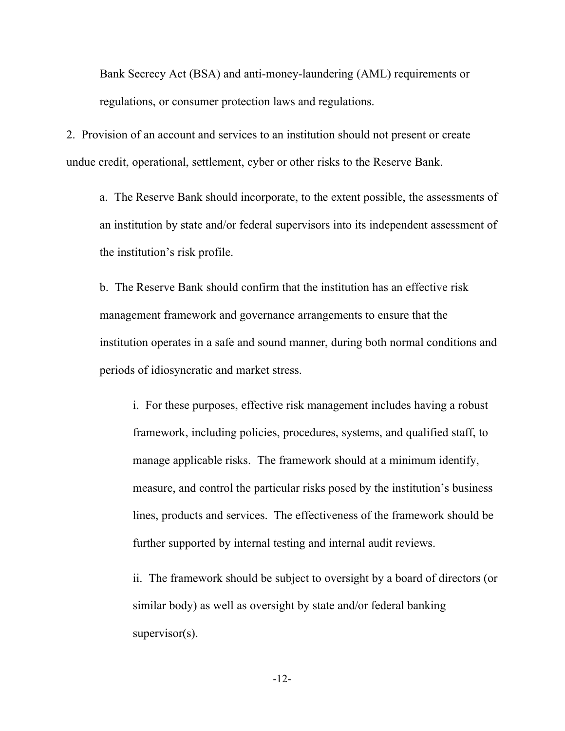Bank Secrecy Act (BSA) and anti-money-laundering (AML) requirements or regulations, or consumer protection laws and regulations.

2. Provision of an account and services to an institution should not present or create undue credit, operational, settlement, cyber or other risks to the Reserve Bank.

a. The Reserve Bank should incorporate, to the extent possible, the assessments of an institution by state and/or federal supervisors into its independent assessment of the institution's risk profile.

b. The Reserve Bank should confirm that the institution has an effective risk management framework and governance arrangements to ensure that the institution operates in a safe and sound manner, during both normal conditions and periods of idiosyncratic and market stress.

i. For these purposes, effective risk management includes having a robust framework, including policies, procedures, systems, and qualified staff, to manage applicable risks. The framework should at a minimum identify, measure, and control the particular risks posed by the institution's business lines, products and services. The effectiveness of the framework should be further supported by internal testing and internal audit reviews.

ii. The framework should be subject to oversight by a board of directors (or similar body) as well as oversight by state and/or federal banking supervisor(s).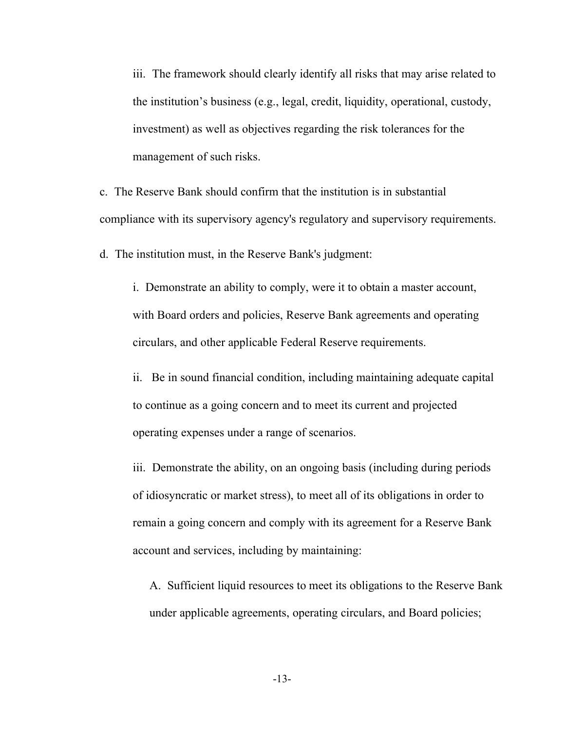iii. The framework should clearly identify all risks that may arise related to the institution's business (e.g., legal, credit, liquidity, operational, custody, investment) as well as objectives regarding the risk tolerances for the management of such risks.

c. The Reserve Bank should confirm that the institution is in substantial compliance with its supervisory agency's regulatory and supervisory requirements.

d. The institution must, in the Reserve Bank's judgment:

i. Demonstrate an ability to comply, were it to obtain a master account, with Board orders and policies, Reserve Bank agreements and operating circulars, and other applicable Federal Reserve requirements.

ii. Be in sound financial condition, including maintaining adequate capital to continue as a going concern and to meet its current and projected operating expenses under a range of scenarios.

iii. Demonstrate the ability, on an ongoing basis (including during periods of idiosyncratic or market stress), to meet all of its obligations in order to remain a going concern and comply with its agreement for a Reserve Bank account and services, including by maintaining:

A. Sufficient liquid resources to meet its obligations to the Reserve Bank under applicable agreements, operating circulars, and Board policies;

-13-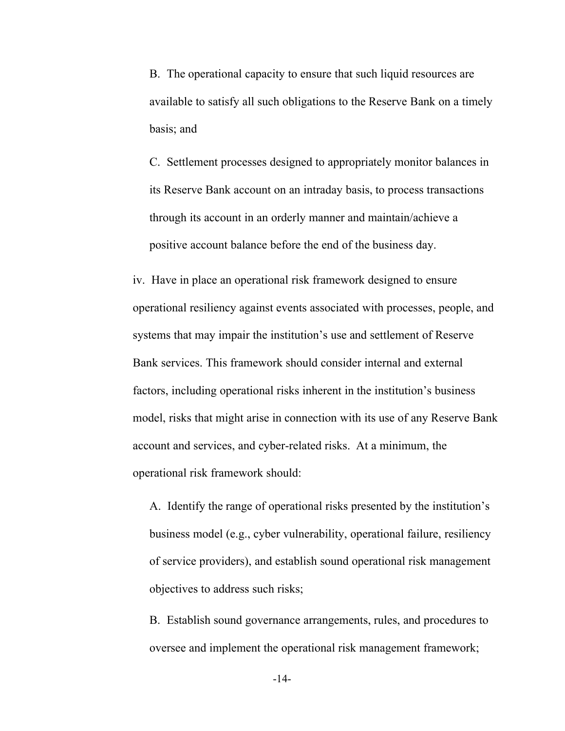B. The operational capacity to ensure that such liquid resources are available to satisfy all such obligations to the Reserve Bank on a timely basis; and

C. Settlement processes designed to appropriately monitor balances in its Reserve Bank account on an intraday basis, to process transactions through its account in an orderly manner and maintain/achieve a positive account balance before the end of the business day.

iv. Have in place an operational risk framework designed to ensure operational resiliency against events associated with processes, people, and systems that may impair the institution's use and settlement of Reserve Bank services. This framework should consider internal and external factors, including operational risks inherent in the institution's business model, risks that might arise in connection with its use of any Reserve Bank account and services, and cyber-related risks. At a minimum, the operational risk framework should:

A. Identify the range of operational risks presented by the institution's business model (e.g., cyber vulnerability, operational failure, resiliency of service providers), and establish sound operational risk management objectives to address such risks;

B. Establish sound governance arrangements, rules, and procedures to oversee and implement the operational risk management framework;

-14-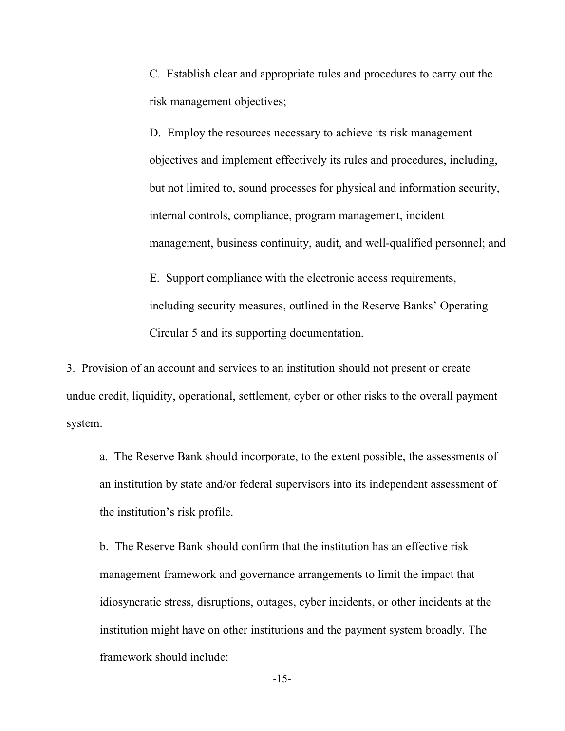C. Establish clear and appropriate rules and procedures to carry out the risk management objectives;

D. Employ the resources necessary to achieve its risk management objectives and implement effectively its rules and procedures, including, but not limited to, sound processes for physical and information security, internal controls, compliance, program management, incident management, business continuity, audit, and well-qualified personnel; and

E. Support compliance with the electronic access requirements, including security measures, outlined in the Reserve Banks' Operating Circular 5 and its supporting documentation.

3. Provision of an account and services to an institution should not present or create undue credit, liquidity, operational, settlement, cyber or other risks to the overall payment system.

a. The Reserve Bank should incorporate, to the extent possible, the assessments of an institution by state and/or federal supervisors into its independent assessment of the institution's risk profile.

b. The Reserve Bank should confirm that the institution has an effective risk management framework and governance arrangements to limit the impact that idiosyncratic stress, disruptions, outages, cyber incidents, or other incidents at the institution might have on other institutions and the payment system broadly. The framework should include:

-15-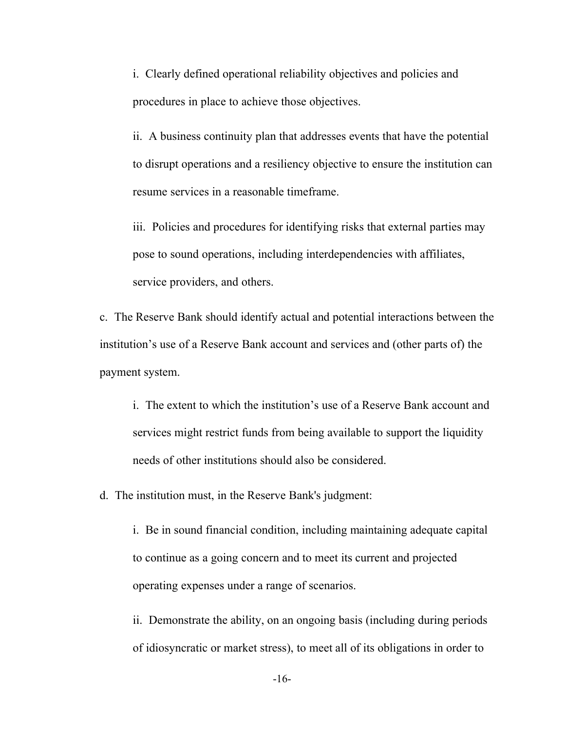i. Clearly defined operational reliability objectives and policies and procedures in place to achieve those objectives.

ii. A business continuity plan that addresses events that have the potential to disrupt operations and a resiliency objective to ensure the institution can resume services in a reasonable timeframe.

iii. Policies and procedures for identifying risks that external parties may pose to sound operations, including interdependencies with affiliates, service providers, and others.

c. The Reserve Bank should identify actual and potential interactions between the institution's use of a Reserve Bank account and services and (other parts of) the payment system.

- i. The extent to which the institution's use of a Reserve Bank account and services might restrict funds from being available to support the liquidity needs of other institutions should also be considered.
- d. The institution must, in the Reserve Bank's judgment:
	- i. Be in sound financial condition, including maintaining adequate capital to continue as a going concern and to meet its current and projected operating expenses under a range of scenarios.
	- ii. Demonstrate the ability, on an ongoing basis (including during periods of idiosyncratic or market stress), to meet all of its obligations in order to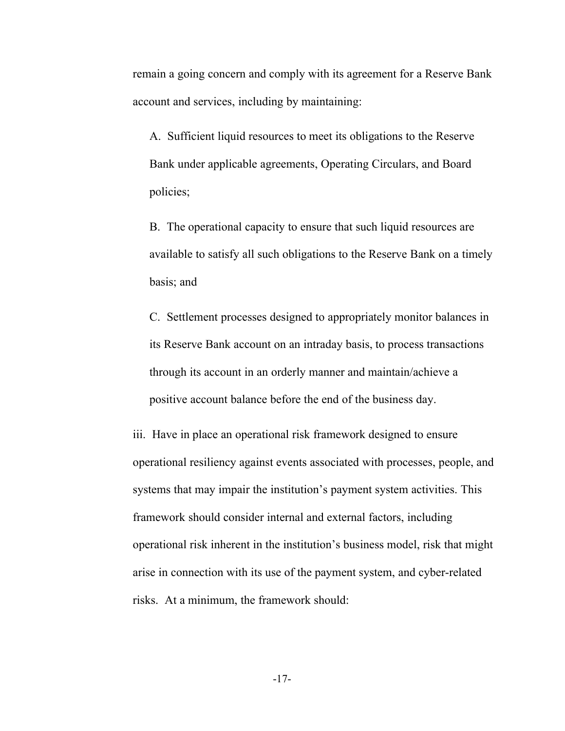remain a going concern and comply with its agreement for a Reserve Bank account and services, including by maintaining:

A. Sufficient liquid resources to meet its obligations to the Reserve Bank under applicable agreements, Operating Circulars, and Board policies;

B. The operational capacity to ensure that such liquid resources are available to satisfy all such obligations to the Reserve Bank on a timely basis; and

C. Settlement processes designed to appropriately monitor balances in its Reserve Bank account on an intraday basis, to process transactions through its account in an orderly manner and maintain/achieve a positive account balance before the end of the business day.

iii. Have in place an operational risk framework designed to ensure operational resiliency against events associated with processes, people, and systems that may impair the institution's payment system activities. This framework should consider internal and external factors, including operational risk inherent in the institution's business model, risk that might arise in connection with its use of the payment system, and cyber-related risks. At a minimum, the framework should:

-17-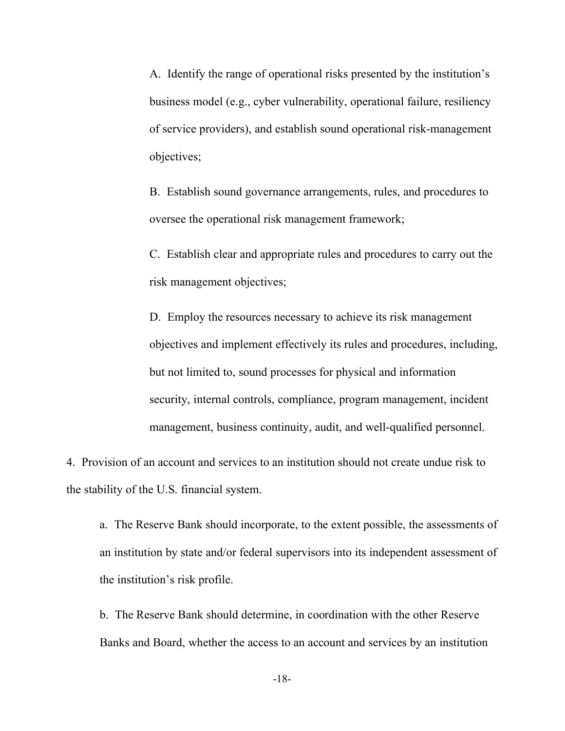A. Identify the range of operational risks presented by the institution's business model (e.g., cyber vulnerability, operational failure, resiliency of service providers), and establish sound operational risk-management objectives;

B. Establish sound governance arrangements, rules, and procedures to oversee the operational risk management framework;

C. Establish clear and appropriate rules and procedures to carry out the risk management objectives;

D. Employ the resources necessary to achieve its risk management objectives and implement effectively its rules and procedures, including, but not limited to, sound processes for physical and information security, internal controls, compliance, program management, incident management, business continuity, audit, and well-qualified personnel.

4. Provision of an account and services to an institution should not create undue risk to the stability of the U.S. financial system.

a. The Reserve Bank should incorporate, to the extent possible, the assessments of an institution by state and/or federal supervisors into its independent assessment of the institution's risk profile.

b. The Reserve Bank should determine, in coordination with the other Reserve Banks and Board, whether the access to an account and services by an institution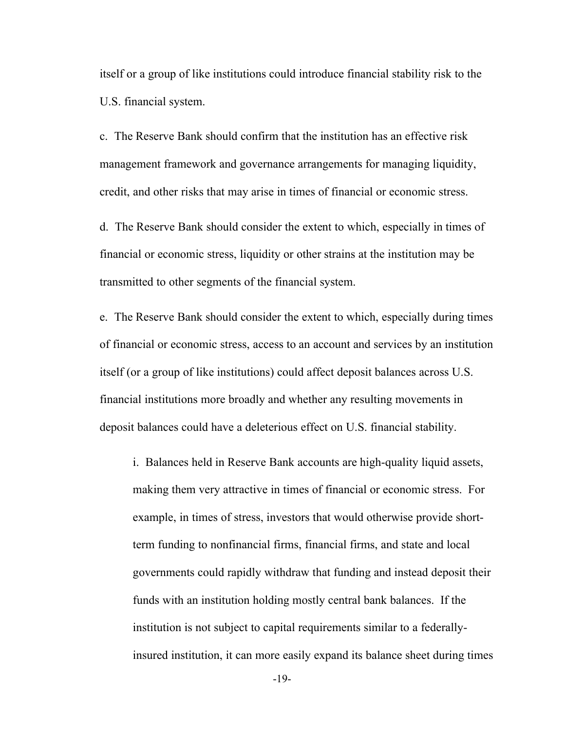itself or a group of like institutions could introduce financial stability risk to the U.S. financial system.

c. The Reserve Bank should confirm that the institution has an effective risk management framework and governance arrangements for managing liquidity, credit, and other risks that may arise in times of financial or economic stress.

d. The Reserve Bank should consider the extent to which, especially in times of financial or economic stress, liquidity or other strains at the institution may be transmitted to other segments of the financial system.

e. The Reserve Bank should consider the extent to which, especially during times of financial or economic stress, access to an account and services by an institution itself (or a group of like institutions) could affect deposit balances across U.S. financial institutions more broadly and whether any resulting movements in deposit balances could have a deleterious effect on U.S. financial stability.

i. Balances held in Reserve Bank accounts are high-quality liquid assets, making them very attractive in times of financial or economic stress. For example, in times of stress, investors that would otherwise provide shortterm funding to nonfinancial firms, financial firms, and state and local governments could rapidly withdraw that funding and instead deposit their funds with an institution holding mostly central bank balances. If the institution is not subject to capital requirements similar to a federallyinsured institution, it can more easily expand its balance sheet during times

-19-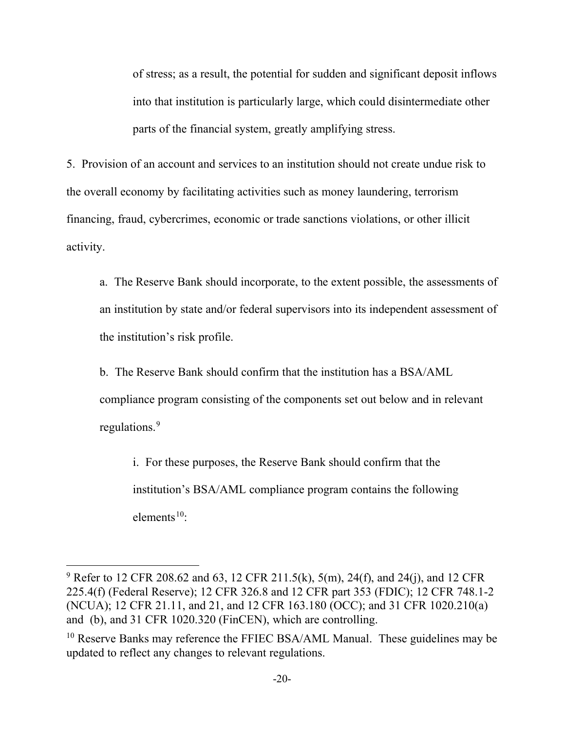of stress; as a result, the potential for sudden and significant deposit inflows into that institution is particularly large, which could disintermediate other parts of the financial system, greatly amplifying stress.

5. Provision of an account and services to an institution should not create undue risk to the overall economy by facilitating activities such as money laundering, terrorism financing, fraud, cybercrimes, economic or trade sanctions violations, or other illicit activity.

a. The Reserve Bank should incorporate, to the extent possible, the assessments of an institution by state and/or federal supervisors into its independent assessment of the institution's risk profile.

b. The Reserve Bank should confirm that the institution has a BSA/AML compliance program consisting of the components set out below and in relevant regulations.<sup>[9](#page-19-0)</sup>

i. For these purposes, the Reserve Bank should confirm that the institution's BSA/AML compliance program contains the following elements<sup>[10](#page-19-1)</sup>:

<span id="page-19-0"></span> $9$  Refer to 12 CFR 208.62 and 63, 12 CFR 211.5(k), 5(m), 24(f), and 24(j), and 12 CFR 225.4(f) (Federal Reserve); 12 CFR 326.8 and 12 CFR part 353 (FDIC); 12 CFR 748.1-2 (NCUA); 12 CFR 21.11, and 21, and 12 CFR 163.180 (OCC); and 31 CFR 1020.210(a) and (b), and 31 CFR 1020.320 (FinCEN), which are controlling.

<span id="page-19-1"></span> $10$  Reserve Banks may reference the FFIEC BSA/AML Manual. These guidelines may be updated to reflect any changes to relevant regulations.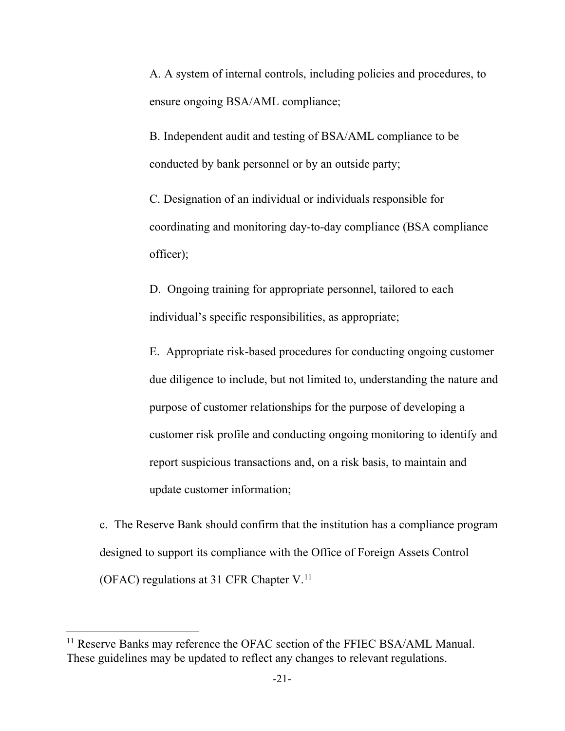A. A system of internal controls, including policies and procedures, to ensure ongoing BSA/AML compliance;

B. Independent audit and testing of BSA/AML compliance to be conducted by bank personnel or by an outside party;

C. Designation of an individual or individuals responsible for coordinating and monitoring day-to-day compliance (BSA compliance officer);

D. Ongoing training for appropriate personnel, tailored to each individual's specific responsibilities, as appropriate;

E. Appropriate risk-based procedures for conducting ongoing customer due diligence to include, but not limited to, understanding the nature and purpose of customer relationships for the purpose of developing a customer risk profile and conducting ongoing monitoring to identify and report suspicious transactions and, on a risk basis, to maintain and update customer information;

c. The Reserve Bank should confirm that the institution has a compliance program designed to support its compliance with the Office of Foreign Assets Control (OFAC) regulations at 31 CFR Chapter  $V<sup>11</sup>$  $V<sup>11</sup>$  $V<sup>11</sup>$ 

<span id="page-20-0"></span><sup>&</sup>lt;sup>11</sup> Reserve Banks may reference the OFAC section of the FFIEC BSA/AML Manual. These guidelines may be updated to reflect any changes to relevant regulations.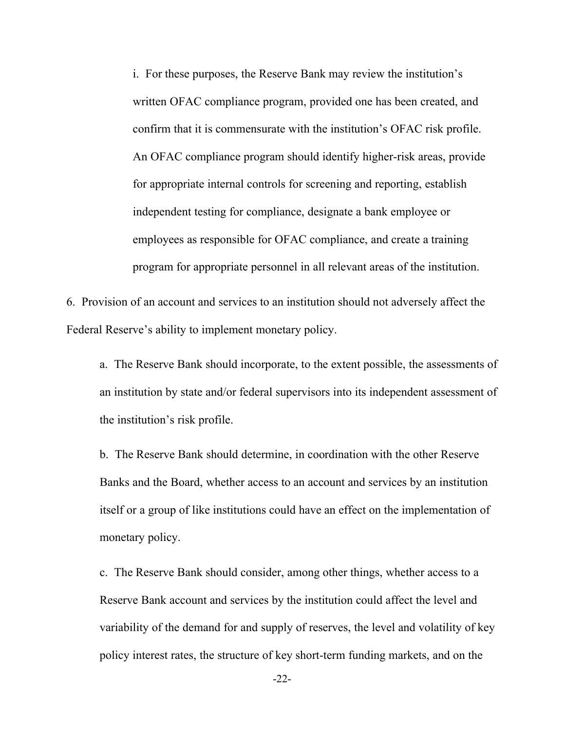i. For these purposes, the Reserve Bank may review the institution's written OFAC compliance program, provided one has been created, and confirm that it is commensurate with the institution's OFAC risk profile. An OFAC compliance program should identify higher-risk areas, provide for appropriate internal controls for screening and reporting, establish independent testing for compliance, designate a bank employee or employees as responsible for OFAC compliance, and create a training program for appropriate personnel in all relevant areas of the institution.

6. Provision of an account and services to an institution should not adversely affect the Federal Reserve's ability to implement monetary policy.

a. The Reserve Bank should incorporate, to the extent possible, the assessments of an institution by state and/or federal supervisors into its independent assessment of the institution's risk profile.

b. The Reserve Bank should determine, in coordination with the other Reserve Banks and the Board, whether access to an account and services by an institution itself or a group of like institutions could have an effect on the implementation of monetary policy.

c. The Reserve Bank should consider, among other things, whether access to a Reserve Bank account and services by the institution could affect the level and variability of the demand for and supply of reserves, the level and volatility of key policy interest rates, the structure of key short-term funding markets, and on the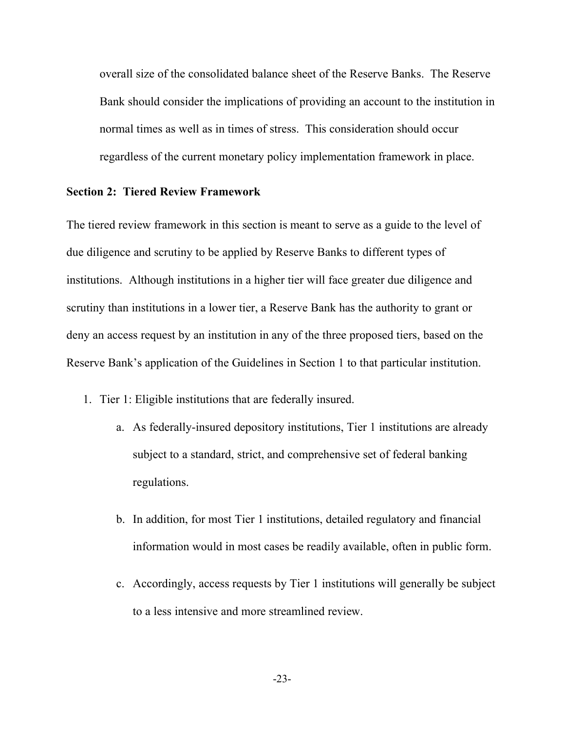overall size of the consolidated balance sheet of the Reserve Banks. The Reserve Bank should consider the implications of providing an account to the institution in normal times as well as in times of stress. This consideration should occur regardless of the current monetary policy implementation framework in place.

#### **Section 2: Tiered Review Framework**

The tiered review framework in this section is meant to serve as a guide to the level of due diligence and scrutiny to be applied by Reserve Banks to different types of institutions. Although institutions in a higher tier will face greater due diligence and scrutiny than institutions in a lower tier, a Reserve Bank has the authority to grant or deny an access request by an institution in any of the three proposed tiers, based on the Reserve Bank's application of the Guidelines in Section 1 to that particular institution.

- 1. Tier 1: Eligible institutions that are federally insured.
	- a. As federally-insured depository institutions, Tier 1 institutions are already subject to a standard, strict, and comprehensive set of federal banking regulations.
	- b. In addition, for most Tier 1 institutions, detailed regulatory and financial information would in most cases be readily available, often in public form.
	- c. Accordingly, access requests by Tier 1 institutions will generally be subject to a less intensive and more streamlined review.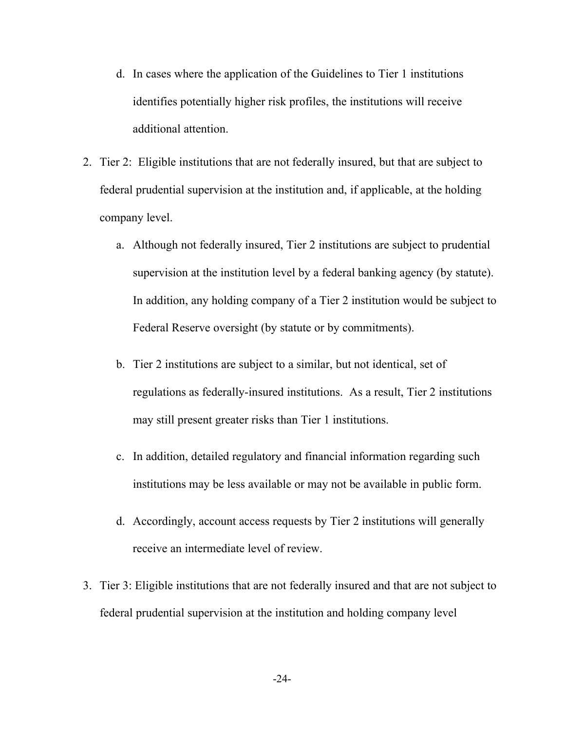- d. In cases where the application of the Guidelines to Tier 1 institutions identifies potentially higher risk profiles, the institutions will receive additional attention.
- 2. Tier 2: Eligible institutions that are not federally insured, but that are subject to federal prudential supervision at the institution and, if applicable, at the holding company level.
	- a. Although not federally insured, Tier 2 institutions are subject to prudential supervision at the institution level by a federal banking agency (by statute). In addition, any holding company of a Tier 2 institution would be subject to Federal Reserve oversight (by statute or by commitments).
	- b. Tier 2 institutions are subject to a similar, but not identical, set of regulations as federally-insured institutions. As a result, Tier 2 institutions may still present greater risks than Tier 1 institutions.
	- c. In addition, detailed regulatory and financial information regarding such institutions may be less available or may not be available in public form.
	- d. Accordingly, account access requests by Tier 2 institutions will generally receive an intermediate level of review.
- 3. Tier 3: Eligible institutions that are not federally insured and that are not subject to federal prudential supervision at the institution and holding company level